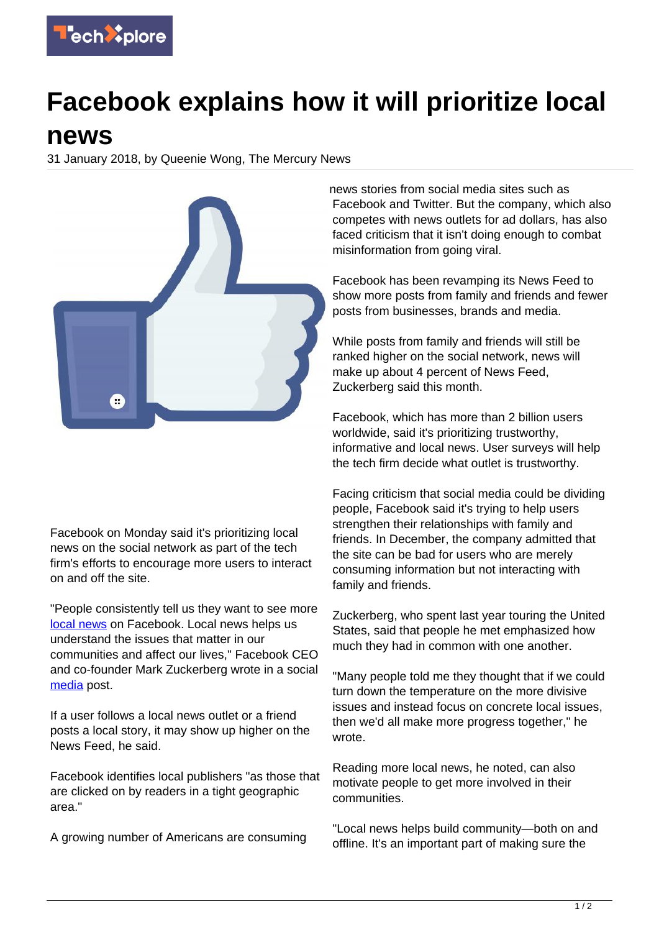

## **Facebook explains how it will prioritize local**

## **news**

31 January 2018, by Queenie Wong, The Mercury News



Facebook on Monday said it's prioritizing local news on the social network as part of the tech firm's efforts to encourage more users to interact on and off the site.

"People consistently tell us they want to see more [local news](https://techxplore.com/tags/local+news/) on Facebook. Local news helps us understand the issues that matter in our communities and affect our lives," Facebook CEO and co-founder Mark Zuckerberg wrote in a social [media](https://techxplore.com/tags/media/) post.

If a user follows a local news outlet or a friend posts a local story, it may show up higher on the News Feed, he said.

Facebook identifies local publishers "as those that are clicked on by readers in a tight geographic area."

A growing number of Americans are consuming

news stories from social media sites such as Facebook and Twitter. But the company, which also competes with news outlets for ad dollars, has also faced criticism that it isn't doing enough to combat misinformation from going viral.

Facebook has been revamping its News Feed to show more posts from family and friends and fewer posts from businesses, brands and media.

While posts from family and friends will still be ranked higher on the social network, news will make up about 4 percent of News Feed, Zuckerberg said this month.

Facebook, which has more than 2 billion users worldwide, said it's prioritizing trustworthy, informative and local news. User surveys will help the tech firm decide what outlet is trustworthy.

Facing criticism that social media could be dividing people, Facebook said it's trying to help users strengthen their relationships with family and friends. In December, the company admitted that the site can be bad for users who are merely consuming information but not interacting with family and friends.

Zuckerberg, who spent last year touring the United States, said that people he met emphasized how much they had in common with one another.

"Many people told me they thought that if we could turn down the temperature on the more divisive issues and instead focus on concrete local issues, then we'd all make more progress together," he wrote.

Reading more local news, he noted, can also motivate people to get more involved in their communities.

"Local news helps build community—both on and offline. It's an important part of making sure the